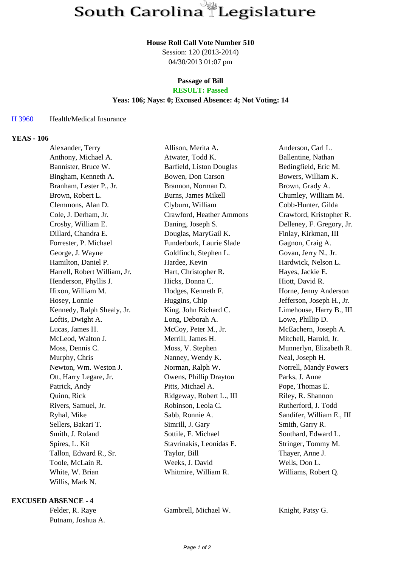#### **House Roll Call Vote Number 510**

Session: 120 (2013-2014) 04/30/2013 01:07 pm

# **Passage of Bill**

## **RESULT: Passed**

### **Yeas: 106; Nays: 0; Excused Absence: 4; Not Voting: 14**

#### H 3960 Health/Medical Insurance

### **YEAS - 106**

| Alexander, Terry             | Allison, Merita A.         | Anderson, Carl L.         |
|------------------------------|----------------------------|---------------------------|
| Anthony, Michael A.          | Atwater, Todd K.           | Ballentine, Nathan        |
| Bannister, Bruce W.          | Barfield, Liston Douglas   | Bedingfield, Eric M.      |
| Bingham, Kenneth A.          | Bowen, Don Carson          | Bowers, William K.        |
| Branham, Lester P., Jr.      | Brannon, Norman D.         | Brown, Grady A.           |
| Brown, Robert L.             | <b>Burns, James Mikell</b> | Chumley, William M.       |
| Clemmons, Alan D.            | Clyburn, William           | Cobb-Hunter, Gilda        |
| Cole, J. Derham, Jr.         | Crawford, Heather Ammons   | Crawford, Kristopher R.   |
| Crosby, William E.           | Daning, Joseph S.          | Delleney, F. Gregory, Jr. |
| Dillard, Chandra E.          | Douglas, MaryGail K.       | Finlay, Kirkman, III      |
| Forrester, P. Michael        | Funderburk, Laurie Slade   | Gagnon, Craig A.          |
| George, J. Wayne             | Goldfinch, Stephen L.      | Govan, Jerry N., Jr.      |
| Hamilton, Daniel P.          | Hardee, Kevin              | Hardwick, Nelson L.       |
| Harrell, Robert William, Jr. | Hart, Christopher R.       | Hayes, Jackie E.          |
| Henderson, Phyllis J.        | Hicks, Donna C.            | Hiott, David R.           |
| Hixon, William M.            | Hodges, Kenneth F.         | Horne, Jenny Anderson     |
| Hosey, Lonnie                | Huggins, Chip              | Jefferson, Joseph H., Jr. |
| Kennedy, Ralph Shealy, Jr.   | King, John Richard C.      | Limehouse, Harry B., III  |
| Loftis, Dwight A.            | Long, Deborah A.           | Lowe, Phillip D.          |
| Lucas, James H.              | McCoy, Peter M., Jr.       | McEachern, Joseph A.      |
| McLeod, Walton J.            | Merrill, James H.          | Mitchell, Harold, Jr.     |
| Moss, Dennis C.              | Moss, V. Stephen           | Munnerlyn, Elizabeth R.   |
| Murphy, Chris                | Nanney, Wendy K.           | Neal, Joseph H.           |
| Newton, Wm. Weston J.        | Norman, Ralph W.           | Norrell, Mandy Powers     |
| Ott, Harry Legare, Jr.       | Owens, Phillip Drayton     | Parks, J. Anne            |
| Patrick, Andy                | Pitts, Michael A.          | Pope, Thomas E.           |
| Quinn, Rick                  | Ridgeway, Robert L., III   | Riley, R. Shannon         |
| Rivers, Samuel, Jr.          | Robinson, Leola C.         | Rutherford, J. Todd       |
| Ryhal, Mike                  | Sabb, Ronnie A.            | Sandifer, William E., III |
| Sellers, Bakari T.           | Simrill, J. Gary           | Smith, Garry R.           |
| Smith, J. Roland             | Sottile, F. Michael        | Southard, Edward L.       |
| Spires, L. Kit               | Stavrinakis, Leonidas E.   | Stringer, Tommy M.        |
| Tallon, Edward R., Sr.       | Taylor, Bill               | Thayer, Anne J.           |
| Toole, McLain R.             | Weeks, J. David            | Wells, Don L.             |
| White, W. Brian              | Whitmire, William R.       | Williams, Robert Q.       |
| Willis, Mark N.              |                            |                           |

#### **EXCUSED ABSENCE - 4**

Putnam, Joshua A.

Felder, R. Raye Gambrell, Michael W. Knight, Patsy G.